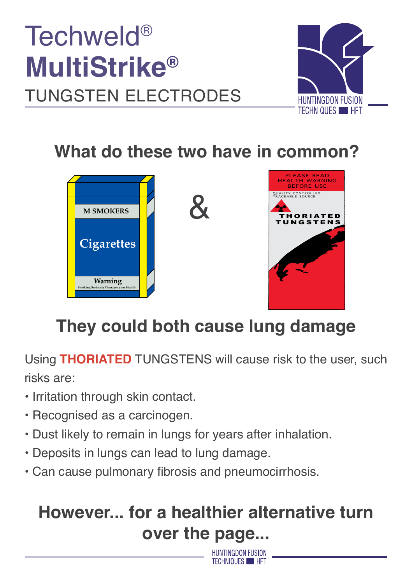



### **What do these two have in common?**



# **They could both cause lung damage**

Using **THORIATED** TUNGSTENS will cause risk to the user, such risks are:

- Irritation through skin contact.
- Recognised as a carcinogen.
- Dust likely to remain in lungs for years after inhalation.
- Deposits in lungs can lead to lung damage.
- Can cause pulmonary fibrosis and pneumocirrhosis.

## **However... for a healthier alternative turn over the page...**